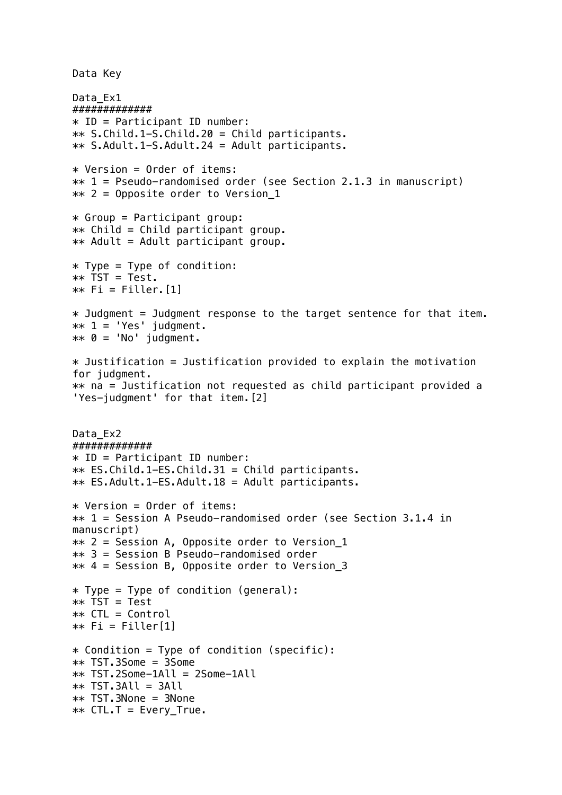Data Key

```
Data Ex1
#############
* ID = Participant ID number:
** S.Child.1-S.Child.20 = Child participants.
** S.Adult.1-S.Adult.24 = Adult participants.
* Version = Order of items:
** 1 = Pseudo-randomised order (see Section 2.1.3 in manuscript)
** 2 = Opposite order to Version_1
* Group = Participant group:
** Child = Child participant group.
** Adult = Adult participant group.
* Type = Type of condition:
** TST = Test.
** Fi = Filler. [1]
* Judgment = Judgment response to the target sentence for that item.
** 1 = 'Yes' judgment.
** 0 = 'No' judgment.
* Justification = Justification provided to explain the motivation
for judgment. 
** na = Justification not requested as child participant provided a 
'Yes-judgment' for that item.[2]
Data Ex2
#############
* ID = Participant ID number:
** ES.Child.1-ES.Child.31 = Child participants.
** ES.Adult.1-ES.Adult.18 = Adult participants.
* Version = Order of items:
** 1 = Session A Pseudo-randomised order (see Section 3.1.4 in 
manuscript)
** 2 = Session A, Opposite order to Version_1
** 3 = Session B Pseudo-randomised order
** 4 = Session B, Opposite order to Version_3
* Type = Type of condition (general):
** TST = Test 
** CTL = Control
** Fi = Filler[1]
* Condition = Type of condition (specific):
** TST.3Some = 3Some
** TST.2Some-1All = 2Some-1All
** TST.3All = 3All
** TST.3None = 3None
** CTL.T = Every True.
```